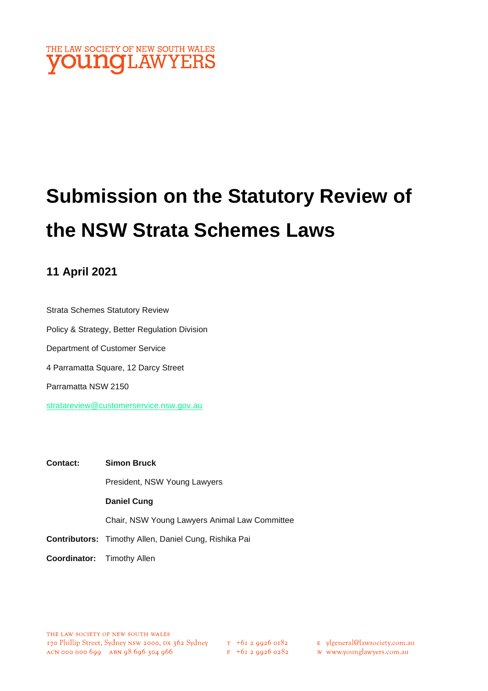

# **Submission on the Statutory Review of the NSW Strata Schemes Laws**

# **11 April 2021**

Strata Schemes Statutory Review Policy & Strategy, Better Regulation Division Department of Customer Service 4 Parramatta Square, 12 Darcy Street Parramatta NSW 2150 [stratareview@customerservice.nsw.gov.au](mailto:stratareview@customerservice.nsw.gov.au)

| Contact:                          | <b>Simon Bruck</b>                                           |
|-----------------------------------|--------------------------------------------------------------|
|                                   | President, NSW Young Lawyers                                 |
|                                   | <b>Daniel Cung</b>                                           |
|                                   | Chair, NSW Young Lawyers Animal Law Committee                |
|                                   | <b>Contributors:</b> Timothy Allen, Daniel Cung, Rishika Pai |
| <b>Coordinator:</b> Timothy Allen |                                                              |

- E ylgeneral@lawsociety.com.au
	- w www.younglawyers.com.au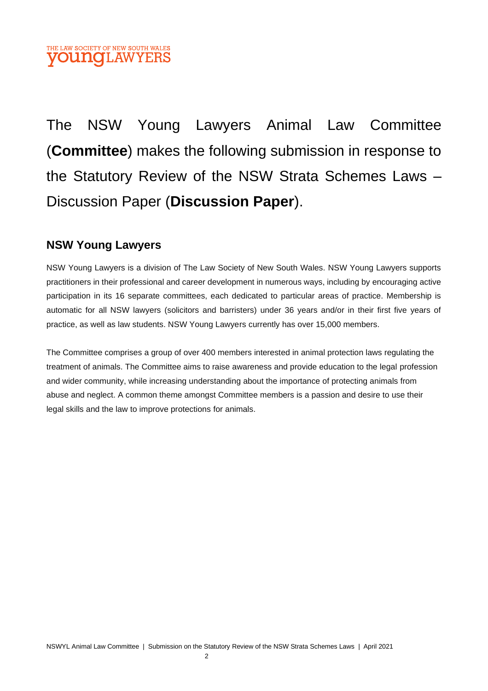## THE LAW SOCIETY OF NEW SOUTH WALES **OUNOLAW**

The NSW Young Lawyers Animal Law Committee (**Committee**) makes the following submission in response to the Statutory Review of the NSW Strata Schemes Laws – Discussion Paper (**Discussion Paper**).

# **NSW Young Lawyers**

NSW Young Lawyers is a division of The Law Society of New South Wales. NSW Young Lawyers supports practitioners in their professional and career development in numerous ways, including by encouraging active participation in its 16 separate committees, each dedicated to particular areas of practice. Membership is automatic for all NSW lawyers (solicitors and barristers) under 36 years and/or in their first five years of practice, as well as law students. NSW Young Lawyers currently has over 15,000 members.

The Committee comprises a group of over 400 members interested in animal protection laws regulating the treatment of animals. The Committee aims to raise awareness and provide education to the legal profession and wider community, while increasing understanding about the importance of protecting animals from abuse and neglect. A common theme amongst Committee members is a passion and desire to use their legal skills and the law to improve protections for animals.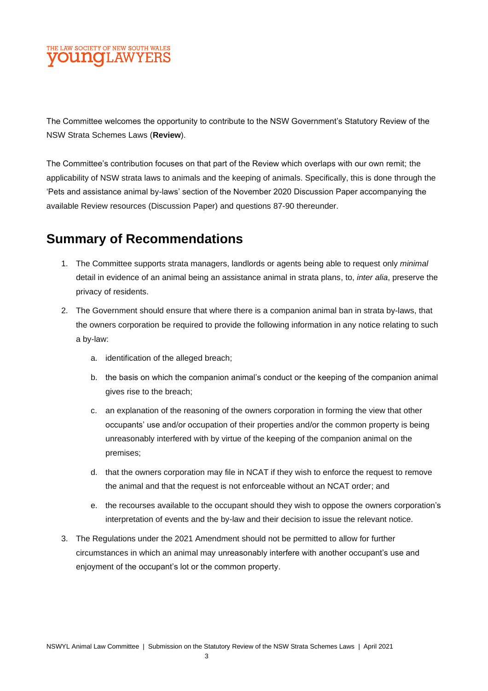## LAW SOCIETY OF NEW SOUTH WALES **UNOLAWYE**

The Committee welcomes the opportunity to contribute to the NSW Government's Statutory Review of the NSW Strata Schemes Laws (**Review**).

The Committee's contribution focuses on that part of the Review which overlaps with our own remit; the applicability of NSW strata laws to animals and the keeping of animals. Specifically, this is done through the 'Pets and assistance animal by-laws' section of the November 2020 Discussion Paper accompanying the available Review resources (Discussion Paper) and questions 87-90 thereunder.

# **Summary of Recommendations**

- 1. The Committee supports strata managers, landlords or agents being able to request only *minimal* detail in evidence of an animal being an assistance animal in strata plans, to, *inter alia*, preserve the privacy of residents.
- 2. The Government should ensure that where there is a companion animal ban in strata by-laws, that the owners corporation be required to provide the following information in any notice relating to such a by-law:
	- a. identification of the alleged breach;
	- b. the basis on which the companion animal's conduct or the keeping of the companion animal gives rise to the breach;
	- c. an explanation of the reasoning of the owners corporation in forming the view that other occupants' use and/or occupation of their properties and/or the common property is being unreasonably interfered with by virtue of the keeping of the companion animal on the premises;
	- d. that the owners corporation may file in NCAT if they wish to enforce the request to remove the animal and that the request is not enforceable without an NCAT order; and
	- e. the recourses available to the occupant should they wish to oppose the owners corporation's interpretation of events and the by-law and their decision to issue the relevant notice.
- 3. The Regulations under the 2021 Amendment should not be permitted to allow for further circumstances in which an animal may unreasonably interfere with another occupant's use and enjoyment of the occupant's lot or the common property.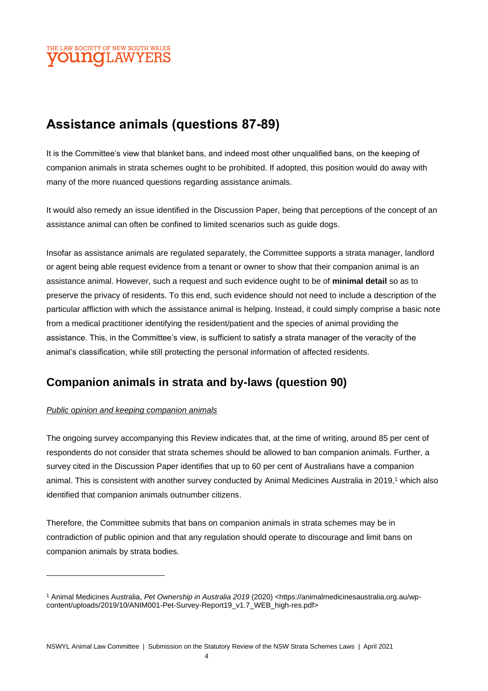## THE LAW SOCIETY OF NEW SOUTH WALES **DUNOLAW**

# **Assistance animals (questions 87-89)**

It is the Committee's view that blanket bans, and indeed most other unqualified bans, on the keeping of companion animals in strata schemes ought to be prohibited. If adopted, this position would do away with many of the more nuanced questions regarding assistance animals.

It would also remedy an issue identified in the Discussion Paper, being that perceptions of the concept of an assistance animal can often be confined to limited scenarios such as guide dogs.

Insofar as assistance animals are regulated separately, the Committee supports a strata manager, landlord or agent being able request evidence from a tenant or owner to show that their companion animal is an assistance animal. However, such a request and such evidence ought to be of **minimal detail** so as to preserve the privacy of residents. To this end, such evidence should not need to include a description of the particular affliction with which the assistance animal is helping. Instead, it could simply comprise a basic note from a medical practitioner identifying the resident/patient and the species of animal providing the assistance. This, in the Committee's view, is sufficient to satisfy a strata manager of the veracity of the animal's classification, while still protecting the personal information of affected residents.

# **Companion animals in strata and by-laws (question 90)**

#### *Public opinion and keeping companion animals*

The ongoing survey accompanying this Review indicates that, at the time of writing, around 85 per cent of respondents do not consider that strata schemes should be allowed to ban companion animals. Further, a survey cited in the Discussion Paper identifies that up to 60 per cent of Australians have a companion animal. This is consistent with another survey conducted by Animal Medicines Australia in 2019,<sup>1</sup> which also identified that companion animals outnumber citizens.

Therefore, the Committee submits that bans on companion animals in strata schemes may be in contradiction of public opinion and that any regulation should operate to discourage and limit bans on companion animals by strata bodies.

<sup>1</sup> Animal Medicines Australia, *Pet Ownership in Australia 2019* (2020) <https://animalmedicinesaustralia.org.au/wpcontent/uploads/2019/10/ANIM001-Pet-Survey-Report19\_v1.7\_WEB\_high-res.pdf>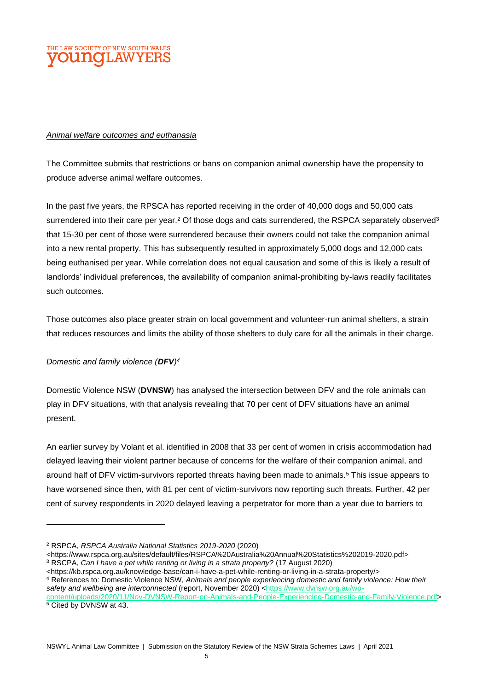

#### *Animal welfare outcomes and euthanasia*

The Committee submits that restrictions or bans on companion animal ownership have the propensity to produce adverse animal welfare outcomes.

In the past five years, the RPSCA has reported receiving in the order of 40,000 dogs and 50,000 cats surrendered into their care per year.<sup>2</sup> Of those dogs and cats surrendered, the RSPCA separately observed $^3$ that 15-30 per cent of those were surrendered because their owners could not take the companion animal into a new rental property. This has subsequently resulted in approximately 5,000 dogs and 12,000 cats being euthanised per year. While correlation does not equal causation and some of this is likely a result of landlords' individual preferences, the availability of companion animal-prohibiting by-laws readily facilitates such outcomes.

Those outcomes also place greater strain on local government and volunteer-run animal shelters, a strain that reduces resources and limits the ability of those shelters to duly care for all the animals in their charge.

#### *Domestic and family violence (DFV) 4*

Domestic Violence NSW (**DVNSW**) has analysed the intersection between DFV and the role animals can play in DFV situations, with that analysis revealing that 70 per cent of DFV situations have an animal present.

An earlier survey by Volant et al. identified in 2008 that 33 per cent of women in crisis accommodation had delayed leaving their violent partner because of concerns for the welfare of their companion animal, and around half of DFV victim-survivors reported threats having been made to animals.<sup>5</sup> This issue appears to have worsened since then, with 81 per cent of victim-survivors now reporting such threats. Further, 42 per cent of survey respondents in 2020 delayed leaving a perpetrator for more than a year due to barriers to

<sup>5</sup> Cited by DVNSW at 43.

<sup>2</sup> RSPCA, *RSPCA Australia National Statistics 2019-2020* (2020)

<sup>&</sup>lt;https://www.rspca.org.au/sites/default/files/RSPCA%20Australia%20Annual%20Statistics%202019-2020.pdf> <sup>3</sup> RSCPA, *Can I have a pet while renting or living in a strata property?* (17 August 2020)

<sup>&</sup>lt;https://kb.rspca.org.au/knowledge-base/can-i-have-a-pet-while-renting-or-living-in-a-strata-property/>

<sup>4</sup> References to: Domestic Violence NSW, *Animals and people experiencing domestic and family violence: How their*  safety and wellbeing are interconnected (report, November 2020) [<https://www.dvnsw.org.au/wp](https://www.dvnsw.org.au/wp-content/uploads/2020/11/Nov-DVNSW-Report-on-Animals-and-People-Experiencing-Domestic-and-Family-Violence.pdf)[content/uploads/2020/11/Nov-DVNSW-Report-on-Animals-and-People-Experiencing-Domestic-and-Family-Violence.pdf>](https://www.dvnsw.org.au/wp-content/uploads/2020/11/Nov-DVNSW-Report-on-Animals-and-People-Experiencing-Domestic-and-Family-Violence.pdf)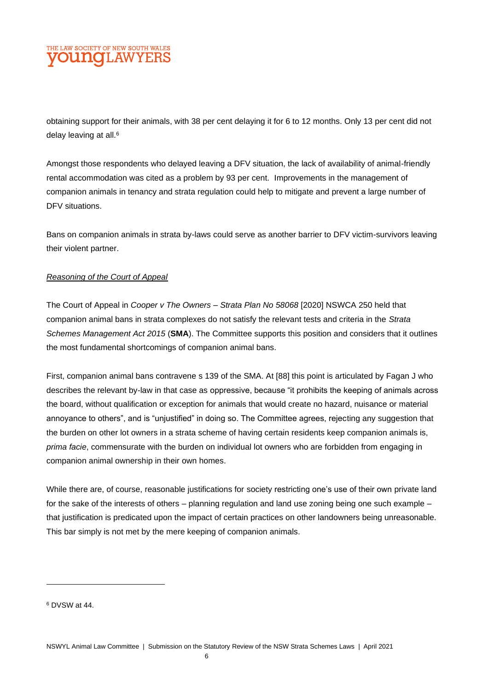## LAW SOCIETY OF NEW SOUTH WALES **DUNCLAWYE**

obtaining support for their animals, with 38 per cent delaying it for 6 to 12 months. Only 13 per cent did not delay leaving at all.<sup>6</sup>

Amongst those respondents who delayed leaving a DFV situation, the lack of availability of animal-friendly rental accommodation was cited as a problem by 93 per cent. Improvements in the management of companion animals in tenancy and strata regulation could help to mitigate and prevent a large number of DFV situations.

Bans on companion animals in strata by-laws could serve as another barrier to DFV victim-survivors leaving their violent partner.

#### *Reasoning of the Court of Appeal*

The Court of Appeal in *Cooper v The Owners – Strata Plan No 58068* [2020] NSWCA 250 held that companion animal bans in strata complexes do not satisfy the relevant tests and criteria in the *Strata Schemes Management Act 2015* (**SMA**). The Committee supports this position and considers that it outlines the most fundamental shortcomings of companion animal bans.

First, companion animal bans contravene s 139 of the SMA. At [88] this point is articulated by Fagan J who describes the relevant by-law in that case as oppressive, because "it prohibits the keeping of animals across the board, without qualification or exception for animals that would create no hazard, nuisance or material annoyance to others", and is "unjustified" in doing so. The Committee agrees, rejecting any suggestion that the burden on other lot owners in a strata scheme of having certain residents keep companion animals is, *prima facie*, commensurate with the burden on individual lot owners who are forbidden from engaging in companion animal ownership in their own homes.

While there are, of course, reasonable justifications for society restricting one's use of their own private land for the sake of the interests of others – planning regulation and land use zoning being one such example – that justification is predicated upon the impact of certain practices on other landowners being unreasonable. This bar simply is not met by the mere keeping of companion animals.

<sup>6</sup> DVSW at 44.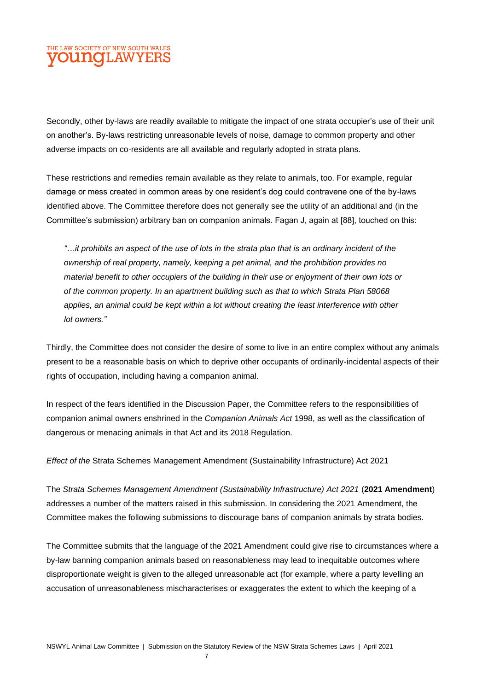## LAW SOCIETY OF NEW SOUTH WALES **DUNOT AWYE**

Secondly, other by-laws are readily available to mitigate the impact of one strata occupier's use of their unit on another's. By-laws restricting unreasonable levels of noise, damage to common property and other adverse impacts on co-residents are all available and regularly adopted in strata plans.

These restrictions and remedies remain available as they relate to animals, too. For example, regular damage or mess created in common areas by one resident's dog could contravene one of the by-laws identified above. The Committee therefore does not generally see the utility of an additional and (in the Committee's submission) arbitrary ban on companion animals. Fagan J, again at [88], touched on this:

*"…it prohibits an aspect of the use of lots in the strata plan that is an ordinary incident of the ownership of real property, namely, keeping a pet animal, and the prohibition provides no material benefit to other occupiers of the building in their use or enjoyment of their own lots or of the common property. In an apartment building such as that to which Strata Plan 58068 applies, an animal could be kept within a lot without creating the least interference with other lot owners."*

Thirdly, the Committee does not consider the desire of some to live in an entire complex without any animals present to be a reasonable basis on which to deprive other occupants of ordinarily-incidental aspects of their rights of occupation, including having a companion animal.

In respect of the fears identified in the Discussion Paper, the Committee refers to the responsibilities of companion animal owners enshrined in the *Companion Animals Act* 1998, as well as the classification of dangerous or menacing animals in that Act and its 2018 Regulation.

#### *Effect of the* Strata Schemes Management Amendment (Sustainability Infrastructure) Act 2021

The *Strata Schemes Management Amendment (Sustainability Infrastructure) Act 2021* (**2021 Amendment**) addresses a number of the matters raised in this submission. In considering the 2021 Amendment, the Committee makes the following submissions to discourage bans of companion animals by strata bodies.

The Committee submits that the language of the 2021 Amendment could give rise to circumstances where a by-law banning companion animals based on reasonableness may lead to inequitable outcomes where disproportionate weight is given to the alleged unreasonable act (for example, where a party levelling an accusation of unreasonableness mischaracterises or exaggerates the extent to which the keeping of a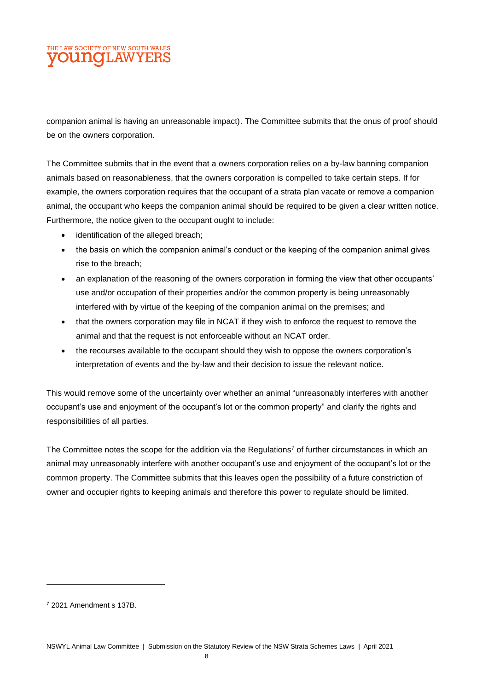## LAW SOCIETY OF NEW SOUTH WALES **DUI 10 I.AWYEI**

companion animal is having an unreasonable impact). The Committee submits that the onus of proof should be on the owners corporation.

The Committee submits that in the event that a owners corporation relies on a by-law banning companion animals based on reasonableness, that the owners corporation is compelled to take certain steps. If for example, the owners corporation requires that the occupant of a strata plan vacate or remove a companion animal, the occupant who keeps the companion animal should be required to be given a clear written notice. Furthermore, the notice given to the occupant ought to include:

- identification of the alleged breach;
- the basis on which the companion animal's conduct or the keeping of the companion animal gives rise to the breach;
- an explanation of the reasoning of the owners corporation in forming the view that other occupants' use and/or occupation of their properties and/or the common property is being unreasonably interfered with by virtue of the keeping of the companion animal on the premises; and
- that the owners corporation may file in NCAT if they wish to enforce the request to remove the animal and that the request is not enforceable without an NCAT order.
- the recourses available to the occupant should they wish to oppose the owners corporation's interpretation of events and the by-law and their decision to issue the relevant notice.

This would remove some of the uncertainty over whether an animal "unreasonably interferes with another occupant's use and enjoyment of the occupant's lot or the common property" and clarify the rights and responsibilities of all parties.

The Committee notes the scope for the addition via the Regulations <sup>7</sup> of further circumstances in which an animal may unreasonably interfere with another occupant's use and enjoyment of the occupant's lot or the common property. The Committee submits that this leaves open the possibility of a future constriction of owner and occupier rights to keeping animals and therefore this power to regulate should be limited.

<sup>7</sup> 2021 Amendment s 137B.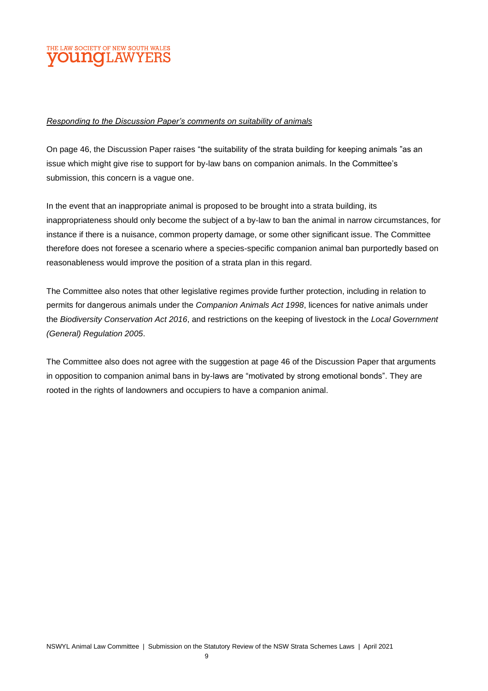## **ELAW SOCIETY OF NEW SOUTH WALES OUNCLAWYER**

#### *Responding to the Discussion Paper's comments on suitability of animals*

On page 46, the Discussion Paper raises "the suitability of the strata building for keeping animals "as an issue which might give rise to support for by-law bans on companion animals. In the Committee's submission, this concern is a vague one.

In the event that an inappropriate animal is proposed to be brought into a strata building, its inappropriateness should only become the subject of a by-law to ban the animal in narrow circumstances, for instance if there is a nuisance, common property damage, or some other significant issue. The Committee therefore does not foresee a scenario where a species-specific companion animal ban purportedly based on reasonableness would improve the position of a strata plan in this regard.

The Committee also notes that other legislative regimes provide further protection, including in relation to permits for dangerous animals under the *Companion Animals Act 1998*, licences for native animals under the *Biodiversity Conservation Act 2016*, and restrictions on the keeping of livestock in the *Local Government (General) Regulation 2005*.

The Committee also does not agree with the suggestion at page 46 of the Discussion Paper that arguments in opposition to companion animal bans in by-laws are "motivated by strong emotional bonds". They are rooted in the rights of landowners and occupiers to have a companion animal.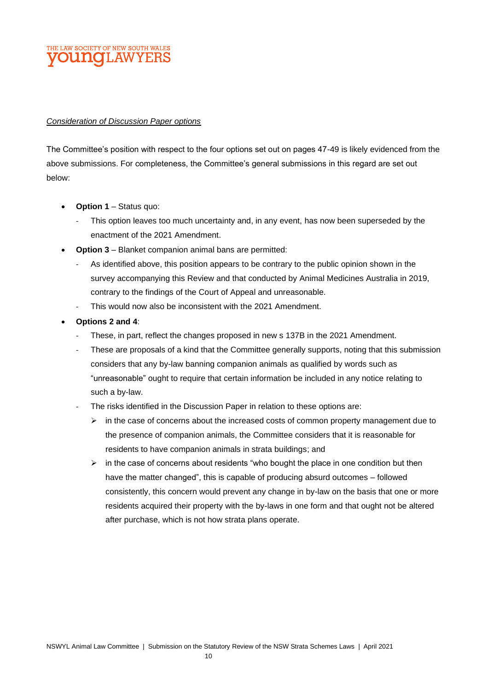#### LAW SOCIETY OF NEW SOUTH WAL **DUI 10 I.AWYE**

#### *Consideration of Discussion Paper options*

The Committee's position with respect to the four options set out on pages 47-49 is likely evidenced from the above submissions. For completeness, the Committee's general submissions in this regard are set out below:

- **Option 1** Status quo:
	- This option leaves too much uncertainty and, in any event, has now been superseded by the enactment of the 2021 Amendment.
- **Option 3** Blanket companion animal bans are permitted:
	- As identified above, this position appears to be contrary to the public opinion shown in the survey accompanying this Review and that conducted by Animal Medicines Australia in 2019, contrary to the findings of the Court of Appeal and unreasonable.
	- This would now also be inconsistent with the 2021 Amendment.
- **Options 2 and 4**:
	- These, in part, reflect the changes proposed in new s 137B in the 2021 Amendment.
	- These are proposals of a kind that the Committee generally supports, noting that this submission considers that any by-law banning companion animals as qualified by words such as "unreasonable" ought to require that certain information be included in any notice relating to such a by-law.
	- The risks identified in the Discussion Paper in relation to these options are:
		- $\triangleright$  in the case of concerns about the increased costs of common property management due to the presence of companion animals, the Committee considers that it is reasonable for residents to have companion animals in strata buildings; and
		- $\triangleright$  in the case of concerns about residents "who bought the place in one condition but then have the matter changed", this is capable of producing absurd outcomes – followed consistently, this concern would prevent any change in by-law on the basis that one or more residents acquired their property with the by-laws in one form and that ought not be altered after purchase, which is not how strata plans operate.